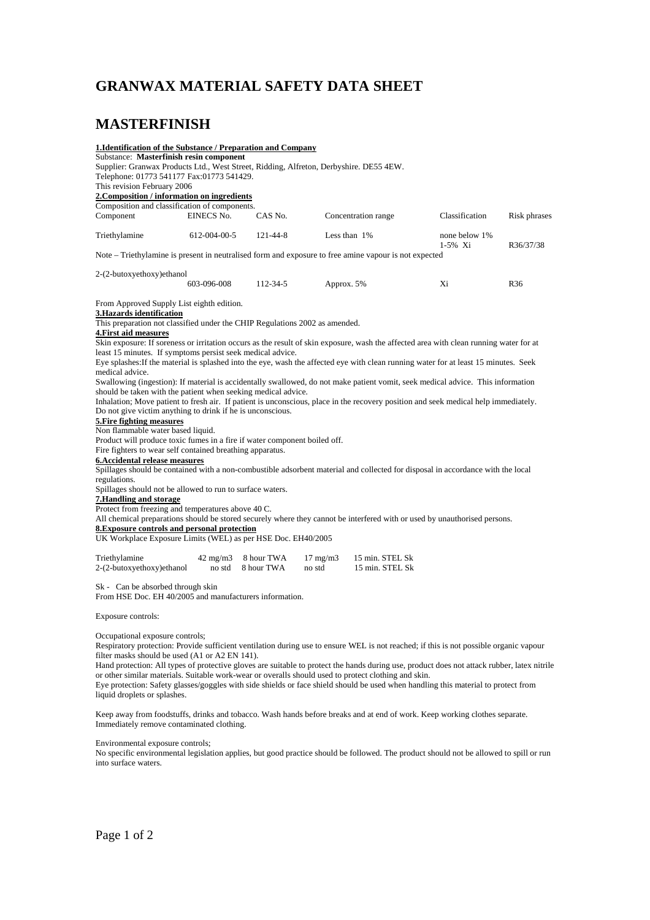## **GRANWAX MATERIAL SAFETY DATA SHEET**

### **MASTERFINISH**

| 1. Identification of the Substance / Preparation and Company                                                                                                                                                                                                                                                                                                                                                                                                                                                                                                                                                                                             |                   |                |                   |                                            |                |                 |
|----------------------------------------------------------------------------------------------------------------------------------------------------------------------------------------------------------------------------------------------------------------------------------------------------------------------------------------------------------------------------------------------------------------------------------------------------------------------------------------------------------------------------------------------------------------------------------------------------------------------------------------------------------|-------------------|----------------|-------------------|--------------------------------------------|----------------|-----------------|
| Substance: Masterfinish resin component                                                                                                                                                                                                                                                                                                                                                                                                                                                                                                                                                                                                                  |                   |                |                   |                                            |                |                 |
| Supplier: Granwax Products Ltd., West Street, Ridding, Alfreton, Derbyshire. DE55 4EW.                                                                                                                                                                                                                                                                                                                                                                                                                                                                                                                                                                   |                   |                |                   |                                            |                |                 |
| Telephone: 01773 541177 Fax:01773 541429.                                                                                                                                                                                                                                                                                                                                                                                                                                                                                                                                                                                                                |                   |                |                   |                                            |                |                 |
| This revision February 2006                                                                                                                                                                                                                                                                                                                                                                                                                                                                                                                                                                                                                              |                   |                |                   |                                            |                |                 |
| 2. Composition / information on ingredients                                                                                                                                                                                                                                                                                                                                                                                                                                                                                                                                                                                                              |                   |                |                   |                                            |                |                 |
|                                                                                                                                                                                                                                                                                                                                                                                                                                                                                                                                                                                                                                                          |                   |                |                   |                                            |                |                 |
| Composition and classification of components.                                                                                                                                                                                                                                                                                                                                                                                                                                                                                                                                                                                                            |                   |                |                   |                                            |                |                 |
| Component                                                                                                                                                                                                                                                                                                                                                                                                                                                                                                                                                                                                                                                | EINECS No.        | CAS No.        |                   | Concentration range                        | Classification | Risk phrases    |
| Triethylamine                                                                                                                                                                                                                                                                                                                                                                                                                                                                                                                                                                                                                                            | 612-004-00-5      | $121 - 44 - 8$ |                   | Less than 1%<br>none below 1%<br>$1-5%$ Xi |                | R36/37/38       |
| Note – Triethylamine is present in neutralised form and exposure to free amine vapour is not expected                                                                                                                                                                                                                                                                                                                                                                                                                                                                                                                                                    |                   |                |                   |                                            |                |                 |
| 2-(2-butoxyethoxy)ethanol                                                                                                                                                                                                                                                                                                                                                                                                                                                                                                                                                                                                                                |                   |                |                   |                                            |                |                 |
|                                                                                                                                                                                                                                                                                                                                                                                                                                                                                                                                                                                                                                                          | 603-096-008       | 112-34-5       | Approx. 5%        |                                            | Xi             | R <sub>36</sub> |
| From Approved Supply List eighth edition.                                                                                                                                                                                                                                                                                                                                                                                                                                                                                                                                                                                                                |                   |                |                   |                                            |                |                 |
| 3.Hazards identification                                                                                                                                                                                                                                                                                                                                                                                                                                                                                                                                                                                                                                 |                   |                |                   |                                            |                |                 |
| This preparation not classified under the CHIP Regulations 2002 as amended.                                                                                                                                                                                                                                                                                                                                                                                                                                                                                                                                                                              |                   |                |                   |                                            |                |                 |
| <b>4. First aid measures</b>                                                                                                                                                                                                                                                                                                                                                                                                                                                                                                                                                                                                                             |                   |                |                   |                                            |                |                 |
| Skin exposure: If soreness or irritation occurs as the result of skin exposure, wash the affected area with clean running water for at                                                                                                                                                                                                                                                                                                                                                                                                                                                                                                                   |                   |                |                   |                                            |                |                 |
| least 15 minutes. If symptoms persist seek medical advice.                                                                                                                                                                                                                                                                                                                                                                                                                                                                                                                                                                                               |                   |                |                   |                                            |                |                 |
| Eye splashes: If the material is splashed into the eye, wash the affected eye with clean running water for at least 15 minutes. Seek                                                                                                                                                                                                                                                                                                                                                                                                                                                                                                                     |                   |                |                   |                                            |                |                 |
| medical advice.                                                                                                                                                                                                                                                                                                                                                                                                                                                                                                                                                                                                                                          |                   |                |                   |                                            |                |                 |
| Swallowing (ingestion): If material is accidentally swallowed, do not make patient vomit, seek medical advice. This information                                                                                                                                                                                                                                                                                                                                                                                                                                                                                                                          |                   |                |                   |                                            |                |                 |
|                                                                                                                                                                                                                                                                                                                                                                                                                                                                                                                                                                                                                                                          |                   |                |                   |                                            |                |                 |
| should be taken with the patient when seeking medical advice.                                                                                                                                                                                                                                                                                                                                                                                                                                                                                                                                                                                            |                   |                |                   |                                            |                |                 |
| Inhalation; Move patient to fresh air. If patient is unconscious, place in the recovery position and seek medical help immediately.                                                                                                                                                                                                                                                                                                                                                                                                                                                                                                                      |                   |                |                   |                                            |                |                 |
| Do not give victim anything to drink if he is unconscious.                                                                                                                                                                                                                                                                                                                                                                                                                                                                                                                                                                                               |                   |                |                   |                                            |                |                 |
| <b>5. Fire fighting measures</b>                                                                                                                                                                                                                                                                                                                                                                                                                                                                                                                                                                                                                         |                   |                |                   |                                            |                |                 |
| Non flammable water based liquid.                                                                                                                                                                                                                                                                                                                                                                                                                                                                                                                                                                                                                        |                   |                |                   |                                            |                |                 |
| Product will produce toxic fumes in a fire if water component boiled off.                                                                                                                                                                                                                                                                                                                                                                                                                                                                                                                                                                                |                   |                |                   |                                            |                |                 |
| Fire fighters to wear self contained breathing apparatus.                                                                                                                                                                                                                                                                                                                                                                                                                                                                                                                                                                                                |                   |                |                   |                                            |                |                 |
| 6. Accidental release measures                                                                                                                                                                                                                                                                                                                                                                                                                                                                                                                                                                                                                           |                   |                |                   |                                            |                |                 |
| Spillages should be contained with a non-combustible adsorbent material and collected for disposal in accordance with the local                                                                                                                                                                                                                                                                                                                                                                                                                                                                                                                          |                   |                |                   |                                            |                |                 |
|                                                                                                                                                                                                                                                                                                                                                                                                                                                                                                                                                                                                                                                          |                   |                |                   |                                            |                |                 |
| regulations.                                                                                                                                                                                                                                                                                                                                                                                                                                                                                                                                                                                                                                             |                   |                |                   |                                            |                |                 |
| Spillages should not be allowed to run to surface waters.                                                                                                                                                                                                                                                                                                                                                                                                                                                                                                                                                                                                |                   |                |                   |                                            |                |                 |
| 7. Handling and storage                                                                                                                                                                                                                                                                                                                                                                                                                                                                                                                                                                                                                                  |                   |                |                   |                                            |                |                 |
| Protect from freezing and temperatures above 40 C.                                                                                                                                                                                                                                                                                                                                                                                                                                                                                                                                                                                                       |                   |                |                   |                                            |                |                 |
| All chemical preparations should be stored securely where they cannot be interfered with or used by unauthorised persons.                                                                                                                                                                                                                                                                                                                                                                                                                                                                                                                                |                   |                |                   |                                            |                |                 |
| <b>8. Exposure controls and personal protection</b>                                                                                                                                                                                                                                                                                                                                                                                                                                                                                                                                                                                                      |                   |                |                   |                                            |                |                 |
| UK Workplace Exposure Limits (WEL) as per HSE Doc. EH40/2005                                                                                                                                                                                                                                                                                                                                                                                                                                                                                                                                                                                             |                   |                |                   |                                            |                |                 |
|                                                                                                                                                                                                                                                                                                                                                                                                                                                                                                                                                                                                                                                          |                   |                |                   |                                            |                |                 |
| Triethylamine                                                                                                                                                                                                                                                                                                                                                                                                                                                                                                                                                                                                                                            | $42 \text{ mg/m}$ | 8 hour TWA     | $17 \text{ mg/m}$ | 15 min. STEL Sk                            |                |                 |
| 2-(2-butoxyethoxy)ethanol                                                                                                                                                                                                                                                                                                                                                                                                                                                                                                                                                                                                                                | no std            | 8 hour TWA     | no std            | 15 min. STEL Sk                            |                |                 |
|                                                                                                                                                                                                                                                                                                                                                                                                                                                                                                                                                                                                                                                          |                   |                |                   |                                            |                |                 |
| Sk - Can be absorbed through skin<br>From HSE Doc. EH 40/2005 and manufacturers information.                                                                                                                                                                                                                                                                                                                                                                                                                                                                                                                                                             |                   |                |                   |                                            |                |                 |
| Exposure controls:                                                                                                                                                                                                                                                                                                                                                                                                                                                                                                                                                                                                                                       |                   |                |                   |                                            |                |                 |
| Occupational exposure controls;<br>Respiratory protection: Provide sufficient ventilation during use to ensure WEL is not reached; if this is not possible organic vapour<br>filter masks should be used (A1 or A2 EN 141).<br>Hand protection: All types of protective gloves are suitable to protect the hands during use, product does not attack rubber, latex nitrile<br>or other similar materials. Suitable work-wear or overalls should used to protect clothing and skin.<br>Eye protection: Safety glasses/goggles with side shields or face shield should be used when handling this material to protect from<br>liquid droplets or splashes. |                   |                |                   |                                            |                |                 |

Keep away from foodstuffs, drinks and tobacco. Wash hands before breaks and at end of work. Keep working clothes separate. Immediately remove contaminated clothing.

### Environmental exposure controls;

No specific environmental legislation applies, but good practice should be followed. The product should not be allowed to spill or run into surface waters.